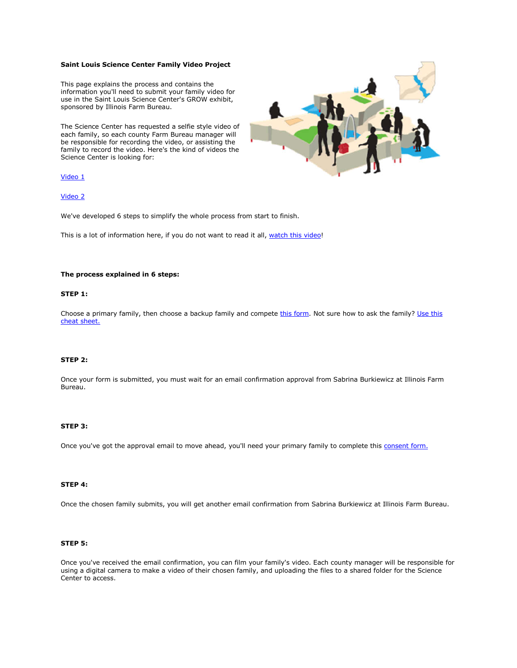#### **Saint Louis Science Center Family Video Project**

This page explains the process and contains the information you'll need to submit your family video for use in the Saint Louis Science Center's GROW exhibit, sponsored by Illinois Farm Bureau.

The Science Center has requested a selfie style video of each family, so each county Farm Bureau manager will be responsible for recording the video, or assisting the family to record the video. Here's the kind of videos the Science Center is looking for:



Video 1

Video 2

We've developed 6 steps to simplify the whole process from start to finish.

This is a lot of information here, if you do not want to read it all, watch this video!

#### **The process explained in 6 steps:**

#### **STEP 1:**

Choose a primary family, then choose a backup family and compete this form. Not sure how to ask the family? Use this cheat sheet.

#### **STEP 2:**

Once your form is submitted, you must wait for an email confirmation approval from Sabrina Burkiewicz at Illinois Farm Bureau.

# **STEP 3:**

Once you've got the approval email to move ahead, you'll need your primary family to complete this consent form.

# **STEP 4:**

Once the chosen family submits, you will get another email confirmation from Sabrina Burkiewicz at Illinois Farm Bureau.

# **STEP 5:**

Once you've received the email confirmation, you can film your family's video. Each county manager will be responsible for using a digital camera to make a video of their chosen family, and uploading the files to a shared folder for the Science Center to access.